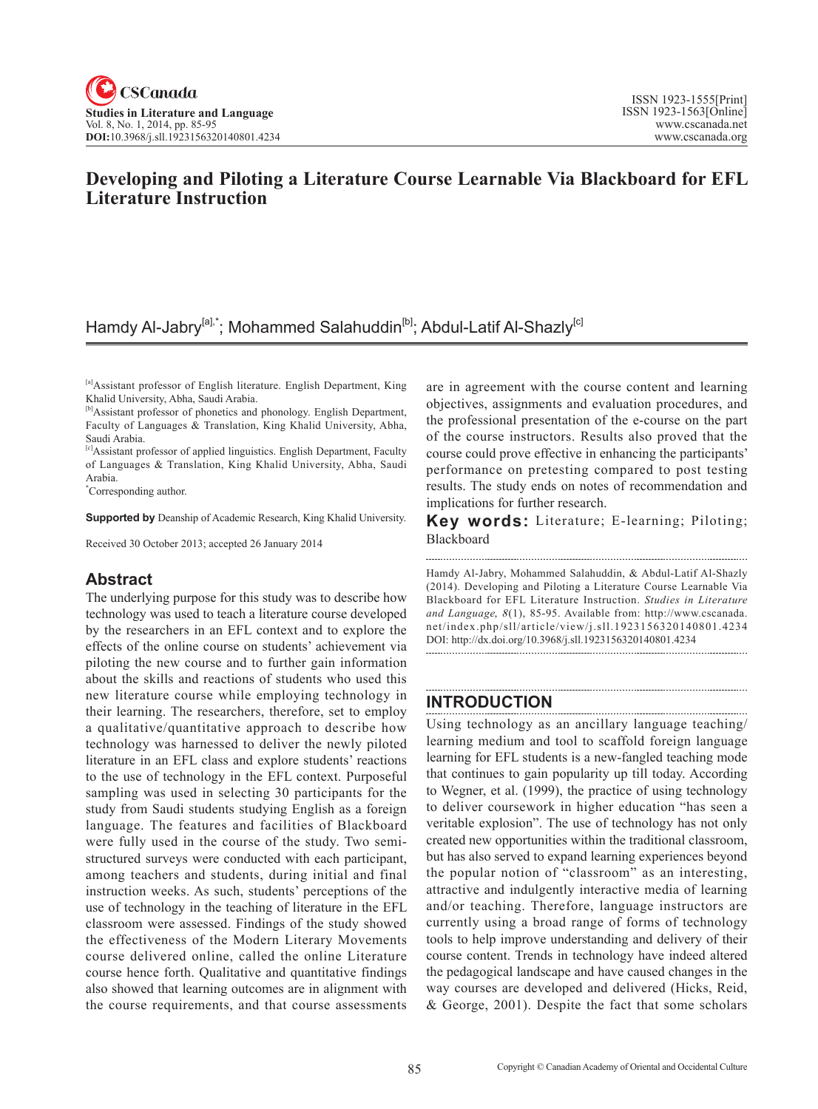# **Developing and Piloting a Literature Course Learnable Via Blackboard for EFL Literature Instruction**

# Hamdy Al-Jabry<sup>[a],\*</sup>; Mohammed Salahuddin<sup>[b]</sup>; Abdul-Latif Al-Shazly<sup>[c]</sup>

[a]Assistant professor of English literature. English Department, King Khalid University, Abha, Saudi Arabia.

[c]Assistant professor of applied linguistics. English Department, Faculty of Languages & Translation, King Khalid University, Abha, Saudi Arabia.

\* Corresponding author.

**Supported by** Deanship of Academic Research, King Khalid University.

Received 30 October 2013; accepted 26 January 2014

# **Abstract**

The underlying purpose for this study was to describe how technology was used to teach a literature course developed by the researchers in an EFL context and to explore the effects of the online course on students' achievement via piloting the new course and to further gain information about the skills and reactions of students who used this new literature course while employing technology in their learning. The researchers, therefore, set to employ a qualitative/quantitative approach to describe how technology was harnessed to deliver the newly piloted literature in an EFL class and explore students' reactions to the use of technology in the EFL context. Purposeful sampling was used in selecting 30 participants for the study from Saudi students studying English as a foreign language. The features and facilities of Blackboard were fully used in the course of the study. Two semistructured surveys were conducted with each participant, among teachers and students, during initial and final instruction weeks. As such, students' perceptions of the use of technology in the teaching of literature in the EFL classroom were assessed. Findings of the study showed the effectiveness of the Modern Literary Movements course delivered online, called the online Literature course hence forth. Qualitative and quantitative findings also showed that learning outcomes are in alignment with the course requirements, and that course assessments are in agreement with the course content and learning objectives, assignments and evaluation procedures, and the professional presentation of the e-course on the part of the course instructors. Results also proved that the course could prove effective in enhancing the participants' performance on pretesting compared to post testing results. The study ends on notes of recommendation and implications for further research.

**Key words:** Literature; E-learning; Piloting; Blackboard

Hamdy Al-Jabry, Mohammed Salahuddin, & Abdul-Latif Al-Shazly (2014). Developing and Piloting a Literature Course Learnable Via Blackboard for EFL Literature Instruction. *Studies in Literature and Language*,  $8(1)$ , 85-95. Available from: http://www.cscanada. net/index.php/sll/article/view/j.sll.1923156320140801.4234 DOI: http://dx.doi.org/10.3968/j.sll.1923156320140801.4234

# **INTRODUCTION**

Using technology as an ancillary language teaching/ learning medium and tool to scaffold foreign language learning for EFL students is a new-fangled teaching mode that continues to gain popularity up till today. According to Wegner, et al. (1999), the practice of using technology to deliver coursework in higher education "has seen a veritable explosion". The use of technology has not only created new opportunities within the traditional classroom, but has also served to expand learning experiences beyond the popular notion of "classroom" as an interesting, attractive and indulgently interactive media of learning and/or teaching. Therefore, language instructors are currently using a broad range of forms of technology tools to help improve understanding and delivery of their course content. Trends in technology have indeed altered the pedagogical landscape and have caused changes in the way courses are developed and delivered (Hicks, Reid, & George, 2001). Despite the fact that some scholars

<sup>[</sup>b]Assistant professor of phonetics and phonology. English Department, Faculty of Languages & Translation, King Khalid University, Abha, Saudi Arabia.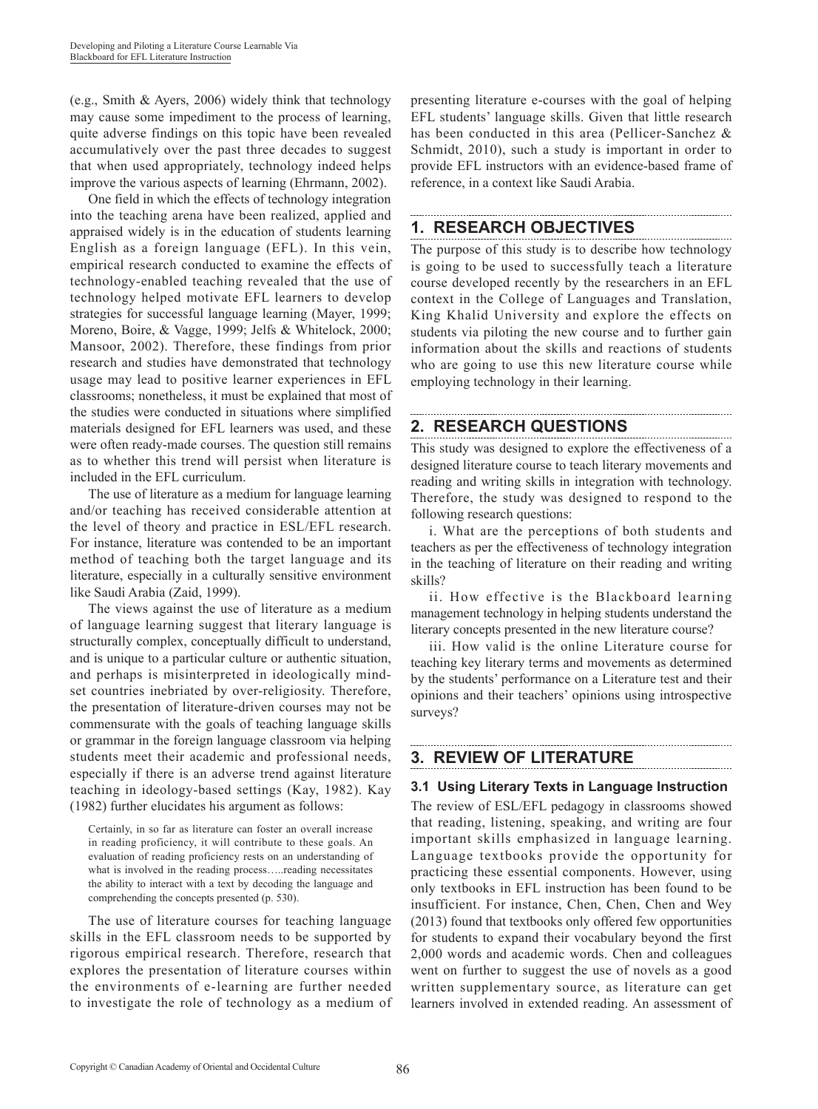(e.g., Smith & Ayers, 2006) widely think that technology may cause some impediment to the process of learning, quite adverse findings on this topic have been revealed accumulatively over the past three decades to suggest that when used appropriately, technology indeed helps improve the various aspects of learning (Ehrmann, 2002).

One field in which the effects of technology integration into the teaching arena have been realized, applied and appraised widely is in the education of students learning English as a foreign language (EFL). In this vein, empirical research conducted to examine the effects of technology-enabled teaching revealed that the use of technology helped motivate EFL learners to develop strategies for successful language learning (Mayer, 1999; Moreno, Boire, & Vagge, 1999; Jelfs & Whitelock, 2000; Mansoor, 2002). Therefore, these findings from prior research and studies have demonstrated that technology usage may lead to positive learner experiences in EFL classrooms; nonetheless, it must be explained that most of the studies were conducted in situations where simplified materials designed for EFL learners was used, and these were often ready-made courses. The question still remains as to whether this trend will persist when literature is included in the EFL curriculum.

The use of literature as a medium for language learning and/or teaching has received considerable attention at the level of theory and practice in ESL/EFL research. For instance, literature was contended to be an important method of teaching both the target language and its literature, especially in a culturally sensitive environment like Saudi Arabia (Zaid, 1999).

The views against the use of literature as a medium of language learning suggest that literary language is structurally complex, conceptually difficult to understand, and is unique to a particular culture or authentic situation, and perhaps is misinterpreted in ideologically mindset countries inebriated by over-religiosity. Therefore, the presentation of literature-driven courses may not be commensurate with the goals of teaching language skills or grammar in the foreign language classroom via helping students meet their academic and professional needs, especially if there is an adverse trend against literature teaching in ideology-based settings (Kay, 1982). Kay (1982) further elucidates his argument as follows:

Certainly, in so far as literature can foster an overall increase in reading proficiency, it will contribute to these goals. An evaluation of reading proficiency rests on an understanding of what is involved in the reading process…..reading necessitates the ability to interact with a text by decoding the language and comprehending the concepts presented (p. 530).

The use of literature courses for teaching language skills in the EFL classroom needs to be supported by rigorous empirical research. Therefore, research that explores the presentation of literature courses within the environments of e-learning are further needed to investigate the role of technology as a medium of presenting literature e-courses with the goal of helping EFL students' language skills. Given that little research has been conducted in this area (Pellicer-Sanchez & Schmidt, 2010), such a study is important in order to provide EFL instructors with an evidence-based frame of reference, in a context like Saudi Arabia.

# **1. RESEARCH OBJECTIVES**

The purpose of this study is to describe how technology is going to be used to successfully teach a literature course developed recently by the researchers in an EFL context in the College of Languages and Translation, King Khalid University and explore the effects on students via piloting the new course and to further gain information about the skills and reactions of students who are going to use this new literature course while employing technology in their learning.

#### **2. RESEARCH QUESTIONS**

This study was designed to explore the effectiveness of a designed literature course to teach literary movements and reading and writing skills in integration with technology. Therefore, the study was designed to respond to the following research questions:

i. What are the perceptions of both students and teachers as per the effectiveness of technology integration in the teaching of literature on their reading and writing skills?

ii. How effective is the Blackboard learning management technology in helping students understand the literary concepts presented in the new literature course?

iii. How valid is the online Literature course for teaching key literary terms and movements as determined by the students' performance on a Literature test and their opinions and their teachers' opinions using introspective surveys?

# **3. REVIEW OF LITERATURE**

### **3.1 Using Literary Texts in Language Instruction**

The review of ESL/EFL pedagogy in classrooms showed that reading, listening, speaking, and writing are four important skills emphasized in language learning. Language textbooks provide the opportunity for practicing these essential components. However, using only textbooks in EFL instruction has been found to be insufficient. For instance, Chen, Chen, Chen and Wey (2013) found that textbooks only offered few opportunities for students to expand their vocabulary beyond the first 2,000 words and academic words. Chen and colleagues went on further to suggest the use of novels as a good written supplementary source, as literature can get learners involved in extended reading. An assessment of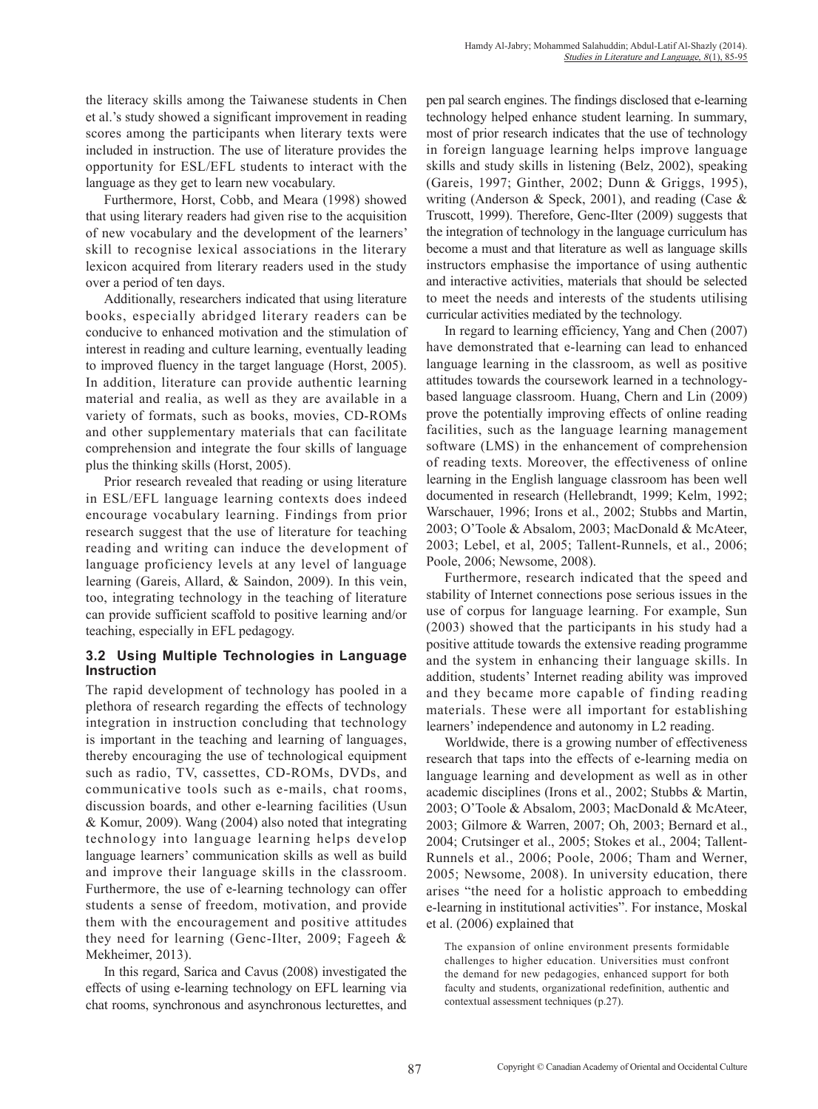the literacy skills among the Taiwanese students in Chen et al.'s study showed a significant improvement in reading scores among the participants when literary texts were included in instruction. The use of literature provides the opportunity for ESL/EFL students to interact with the language as they get to learn new vocabulary.

Furthermore, Horst, Cobb, and Meara (1998) showed that using literary readers had given rise to the acquisition of new vocabulary and the development of the learners' skill to recognise lexical associations in the literary lexicon acquired from literary readers used in the study over a period of ten days.

Additionally, researchers indicated that using literature books, especially abridged literary readers can be conducive to enhanced motivation and the stimulation of interest in reading and culture learning, eventually leading to improved fluency in the target language (Horst, 2005). In addition, literature can provide authentic learning material and realia, as well as they are available in a variety of formats, such as books, movies, CD-ROMs and other supplementary materials that can facilitate comprehension and integrate the four skills of language plus the thinking skills (Horst, 2005).

Prior research revealed that reading or using literature in ESL/EFL language learning contexts does indeed encourage vocabulary learning. Findings from prior research suggest that the use of literature for teaching reading and writing can induce the development of language proficiency levels at any level of language learning (Gareis, Allard, & Saindon, 2009). In this vein, too, integrating technology in the teaching of literature can provide sufficient scaffold to positive learning and/or teaching, especially in EFL pedagogy.

# **3.2 Using Multiple Technologies in Language Instruction**

The rapid development of technology has pooled in a plethora of research regarding the effects of technology integration in instruction concluding that technology is important in the teaching and learning of languages, thereby encouraging the use of technological equipment such as radio, TV, cassettes, CD-ROMs, DVDs, and communicative tools such as e-mails, chat rooms, discussion boards, and other e-learning facilities (Usun & Komur, 2009). Wang (2004) also noted that integrating technology into language learning helps develop language learners' communication skills as well as build and improve their language skills in the classroom. Furthermore, the use of e-learning technology can offer students a sense of freedom, motivation, and provide them with the encouragement and positive attitudes they need for learning (Genc-Ilter, 2009; Fageeh & Mekheimer, 2013).

In this regard, Sarica and Cavus (2008) investigated the effects of using e-learning technology on EFL learning via chat rooms, synchronous and asynchronous lecturettes, and pen pal search engines. The findings disclosed that e-learning technology helped enhance student learning. In summary, most of prior research indicates that the use of technology in foreign language learning helps improve language skills and study skills in listening (Belz, 2002), speaking (Gareis, 1997; Ginther, 2002; Dunn & Griggs, 1995), writing (Anderson & Speck, 2001), and reading (Case & Truscott, 1999). Therefore, Genc-Ilter (2009) suggests that the integration of technology in the language curriculum has become a must and that literature as well as language skills instructors emphasise the importance of using authentic and interactive activities, materials that should be selected to meet the needs and interests of the students utilising curricular activities mediated by the technology.

In regard to learning efficiency, Yang and Chen (2007) have demonstrated that e-learning can lead to enhanced language learning in the classroom, as well as positive attitudes towards the coursework learned in a technologybased language classroom. Huang, Chern and Lin (2009) prove the potentially improving effects of online reading facilities, such as the language learning management software (LMS) in the enhancement of comprehension of reading texts. Moreover, the effectiveness of online learning in the English language classroom has been well documented in research (Hellebrandt, 1999; Kelm, 1992; Warschauer, 1996; Irons et al., 2002; Stubbs and Martin, 2003; O'Toole & Absalom, 2003; MacDonald & McAteer, 2003; Lebel, et al, 2005; Tallent-Runnels, et al., 2006; Poole, 2006; Newsome, 2008).

Furthermore, research indicated that the speed and stability of Internet connections pose serious issues in the use of corpus for language learning. For example, Sun (2003) showed that the participants in his study had a positive attitude towards the extensive reading programme and the system in enhancing their language skills. In addition, students' Internet reading ability was improved and they became more capable of finding reading materials. These were all important for establishing learners' independence and autonomy in L2 reading.

Worldwide, there is a growing number of effectiveness research that taps into the effects of e-learning media on language learning and development as well as in other academic disciplines (Irons et al., 2002; Stubbs & Martin, 2003; O'Toole & Absalom, 2003; MacDonald & McAteer, 2003; Gilmore & Warren, 2007; Oh, 2003; Bernard et al., 2004; Crutsinger et al., 2005; Stokes et al., 2004; Tallent-Runnels et al., 2006; Poole, 2006; Tham and Werner, 2005; Newsome, 2008). In university education, there arises "the need for a holistic approach to embedding e-learning in institutional activities". For instance, Moskal et al. (2006) explained that

The expansion of online environment presents formidable challenges to higher education. Universities must confront the demand for new pedagogies, enhanced support for both faculty and students, organizational redefinition, authentic and contextual assessment techniques (p.27).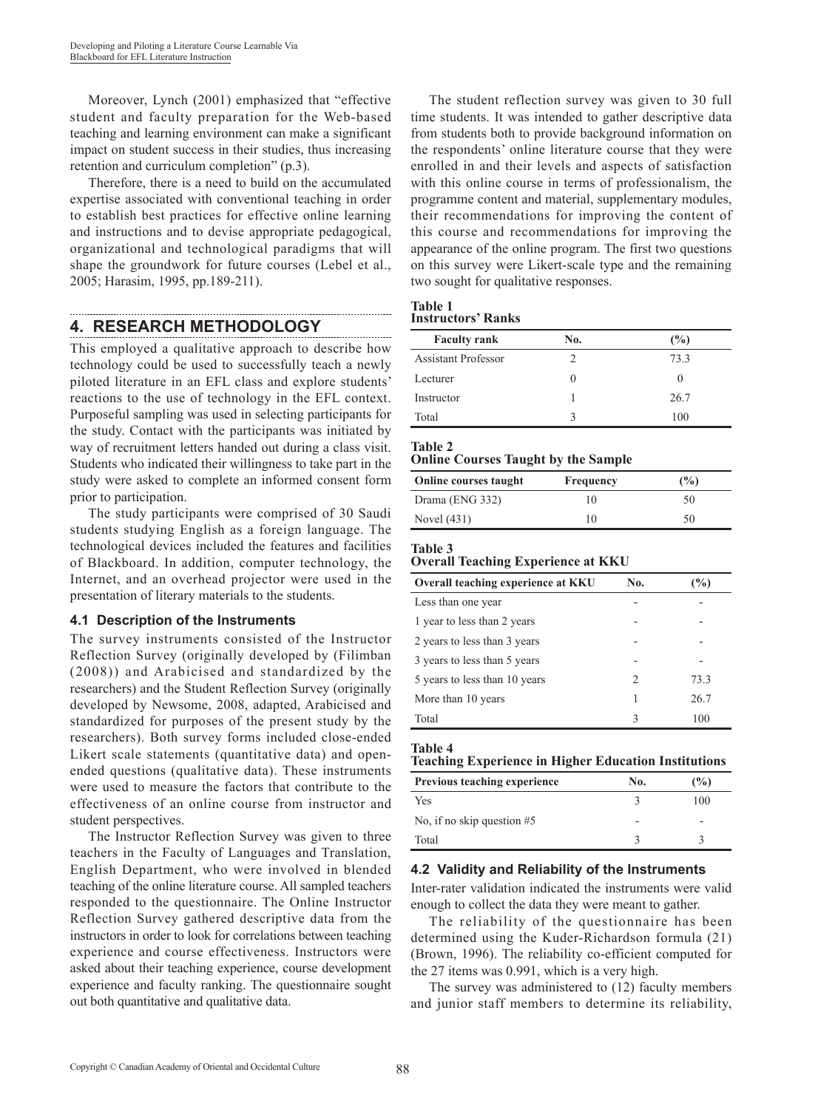Moreover, Lynch (2001) emphasized that "effective student and faculty preparation for the Web-based teaching and learning environment can make a significant impact on student success in their studies, thus increasing retention and curriculum completion" (p.3).

Therefore, there is a need to build on the accumulated expertise associated with conventional teaching in order to establish best practices for effective online learning and instructions and to devise appropriate pedagogical, organizational and technological paradigms that will shape the groundwork for future courses (Lebel et al., 2005; Harasim, 1995, pp.189-211).

# **4. RESEARCH METHODOLOGY**

This employed a qualitative approach to describe how technology could be used to successfully teach a newly piloted literature in an EFL class and explore students' reactions to the use of technology in the EFL context. Purposeful sampling was used in selecting participants for the study. Contact with the participants was initiated by way of recruitment letters handed out during a class visit. Students who indicated their willingness to take part in the study were asked to complete an informed consent form prior to participation.

The study participants were comprised of 30 Saudi students studying English as a foreign language. The technological devices included the features and facilities of Blackboard. In addition, computer technology, the Internet, and an overhead projector were used in the presentation of literary materials to the students.

### **4.1 Description of the Instruments**

The survey instruments consisted of the Instructor Reflection Survey (originally developed by (Filimban (2008)) and Arabicised and standardized by the researchers) and the Student Reflection Survey (originally developed by Newsome, 2008, adapted, Arabicised and standardized for purposes of the present study by the researchers). Both survey forms included close-ended Likert scale statements (quantitative data) and openended questions (qualitative data). These instruments were used to measure the factors that contribute to the effectiveness of an online course from instructor and student perspectives.

The Instructor Reflection Survey was given to three teachers in the Faculty of Languages and Translation, English Department, who were involved in blended teaching of the online literature course. All sampled teachers responded to the questionnaire. The Online Instructor Reflection Survey gathered descriptive data from the instructors in order to look for correlations between teaching experience and course effectiveness. Instructors were asked about their teaching experience, course development experience and faculty ranking. The questionnaire sought out both quantitative and qualitative data.

The student reflection survey was given to 30 full time students. It was intended to gather descriptive data from students both to provide background information on the respondents' online literature course that they were enrolled in and their levels and aspects of satisfaction with this online course in terms of professionalism, the programme content and material, supplementary modules, their recommendations for improving the content of this course and recommendations for improving the appearance of the online program. The first two questions on this survey were Likert-scale type and the remaining two sought for qualitative responses.

#### **Table 1 Instructors' Ranks**

| <b>Faculty rank</b>        | No. | (%)          |
|----------------------------|-----|--------------|
| <b>Assistant Professor</b> |     | 73.3         |
| Lecturer                   |     | $\mathbf{0}$ |
| Instructor                 |     | 26.7         |
| Total                      | ◠   | 100          |

### **Table 2**

### **Online Courses Taught by the Sample**

| <b>Online courses taught</b> | Frequency | (%) |
|------------------------------|-----------|-----|
| Drama (ENG 332)              | 10        | 50  |
| Novel (431)                  | 10        | 50  |

### **Table 3**

# **Overall Teaching Experience at KKU**

| Overall teaching experience at KKU | No. | $\frac{10}{2}$ |
|------------------------------------|-----|----------------|
| Less than one year                 |     |                |
| 1 year to less than 2 years        |     |                |
| 2 years to less than 3 years       |     |                |
| 3 years to less than 5 years       |     |                |
| 5 years to less than 10 years      | 2   | 73.3           |
| More than 10 years                 | 1   | 26.7           |
| Total                              | 3   | 100            |

### **Table 4**

### **Teaching Experience in Higher Education Institutions**

| <b>Previous teaching experience</b> | No. | (%) |
|-------------------------------------|-----|-----|
| Yes                                 |     | 100 |
| No, if no skip question $#5$        | -   |     |
| Total                               |     |     |

### **4.2 Validity and Reliability of the Instruments**

Inter-rater validation indicated the instruments were valid enough to collect the data they were meant to gather.

The reliability of the questionnaire has been determined using the Kuder-Richardson formula (21) (Brown, 1996). The reliability co-efficient computed for the 27 items was 0.991, which is a very high.

The survey was administered to (12) faculty members and junior staff members to determine its reliability,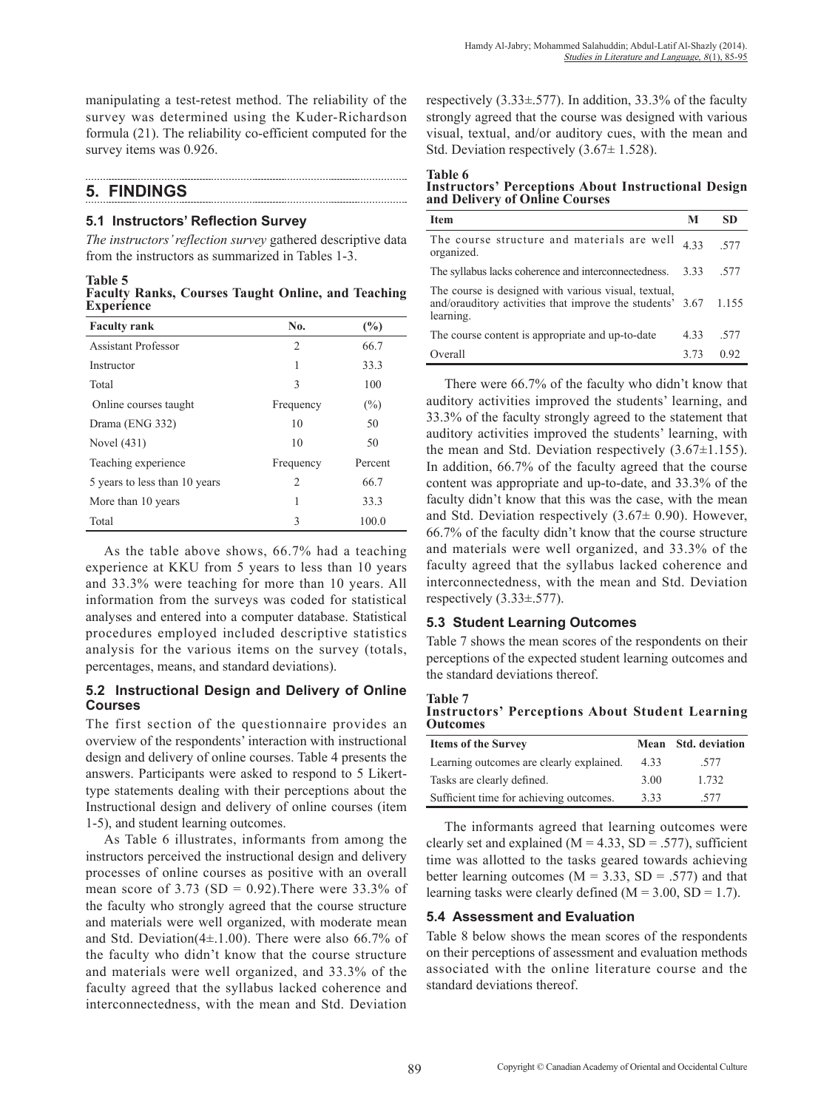manipulating a test-retest method. The reliability of the survey was determined using the Kuder-Richardson formula (21). The reliability co-efficient computed for the survey items was 0.926.

# **5. FINDINGS**

### **5.1 Instructors' Reflection Survey**

*The instructors' reflection survey* gathered descriptive data from the instructors as summarized in Tables 1-3.

**Table 5**

**Faculty Ranks, Courses Taught Online, and Teaching Experience**

| <b>Faculty rank</b>           | No.            | (%)     |
|-------------------------------|----------------|---------|
| <b>Assistant Professor</b>    | $\overline{c}$ | 66.7    |
| Instructor                    | 1              | 33.3    |
| Total                         | 3              | 100     |
| Online courses taught         | Frequency      | $(\%)$  |
| Drama (ENG 332)               | 10             | 50      |
| Novel (431)                   | 10             | 50      |
| Teaching experience           | Frequency      | Percent |
| 5 years to less than 10 years | 2              | 66.7    |
| More than 10 years            | 1              | 33.3    |
| Total                         | 3              | 100.0   |

As the table above shows, 66.7% had a teaching experience at KKU from 5 years to less than 10 years and 33.3% were teaching for more than 10 years. All information from the surveys was coded for statistical analyses and entered into a computer database. Statistical procedures employed included descriptive statistics analysis for the various items on the survey (totals, percentages, means, and standard deviations).

## **5.2 Instructional Design and Delivery of Online Courses**

The first section of the questionnaire provides an overview of the respondents' interaction with instructional design and delivery of online courses. Table 4 presents the answers. Participants were asked to respond to 5 Likerttype statements dealing with their perceptions about the Instructional design and delivery of online courses (item 1-5), and student learning outcomes.

As Table 6 illustrates, informants from among the instructors perceived the instructional design and delivery processes of online courses as positive with an overall mean score of 3.73 (SD = 0.92). There were 33.3% of the faculty who strongly agreed that the course structure and materials were well organized, with moderate mean and Std. Deviation( $4\pm$ .1.00). There were also 66.7% of the faculty who didn't know that the course structure and materials were well organized, and 33.3% of the faculty agreed that the syllabus lacked coherence and interconnectedness, with the mean and Std. Deviation respectively  $(3.33\pm 577)$ . In addition, 33.3% of the faculty strongly agreed that the course was designed with various visual, textual, and/or auditory cues, with the mean and Std. Deviation respectively (3.67± 1.528).

**Table 6 Instructors' Perceptions About Instructional Design and Delivery of Online Courses**

| <b>Item</b>                                                                                                                    | М    | SD    |
|--------------------------------------------------------------------------------------------------------------------------------|------|-------|
| The course structure and materials are well<br>organized.                                                                      | 433  | 577   |
| The syllabus lacks coherence and interconnectedness.                                                                           | 333  | -577  |
| The course is designed with various visual, textual,<br>and/orauditory activities that improve the students' 3.67<br>learning. |      | 1.155 |
| The course content is appropriate and up-to-date                                                                               | 4.33 | -577  |
| Overall                                                                                                                        | 3.73 | 0.92  |

There were 66.7% of the faculty who didn't know that auditory activities improved the students' learning, and 33.3% of the faculty strongly agreed to the statement that auditory activities improved the students' learning, with the mean and Std. Deviation respectively  $(3.67\pm1.155)$ . In addition, 66.7% of the faculty agreed that the course content was appropriate and up-to-date, and 33.3% of the faculty didn't know that this was the case, with the mean and Std. Deviation respectively (3.67± 0.90). However, 66.7% of the faculty didn't know that the course structure and materials were well organized, and 33.3% of the faculty agreed that the syllabus lacked coherence and interconnectedness, with the mean and Std. Deviation respectively  $(3.33\pm 0.577)$ .

# **5.3 Student Learning Outcomes**

Table 7 shows the mean scores of the respondents on their perceptions of the expected student learning outcomes and the standard deviations thereof.

**Table 7 Instructors' Perceptions About Student Learning Outcomes**

| <b>Items of the Survey</b>               | Mean | <b>Std. deviation</b> |
|------------------------------------------|------|-----------------------|
| Learning outcomes are clearly explained. | 4.33 | .577                  |
| Tasks are clearly defined.               | 3.00 | 1.732                 |
| Sufficient time for achieving outcomes.  | 333  | -577                  |

The informants agreed that learning outcomes were clearly set and explained ( $M = 4.33$ , SD = .577), sufficient time was allotted to the tasks geared towards achieving better learning outcomes ( $M = 3.33$ ,  $SD = .577$ ) and that learning tasks were clearly defined  $(M = 3.00, SD = 1.7)$ .

# **5.4 Assessment and Evaluation**

Table 8 below shows the mean scores of the respondents on their perceptions of assessment and evaluation methods associated with the online literature course and the standard deviations thereof.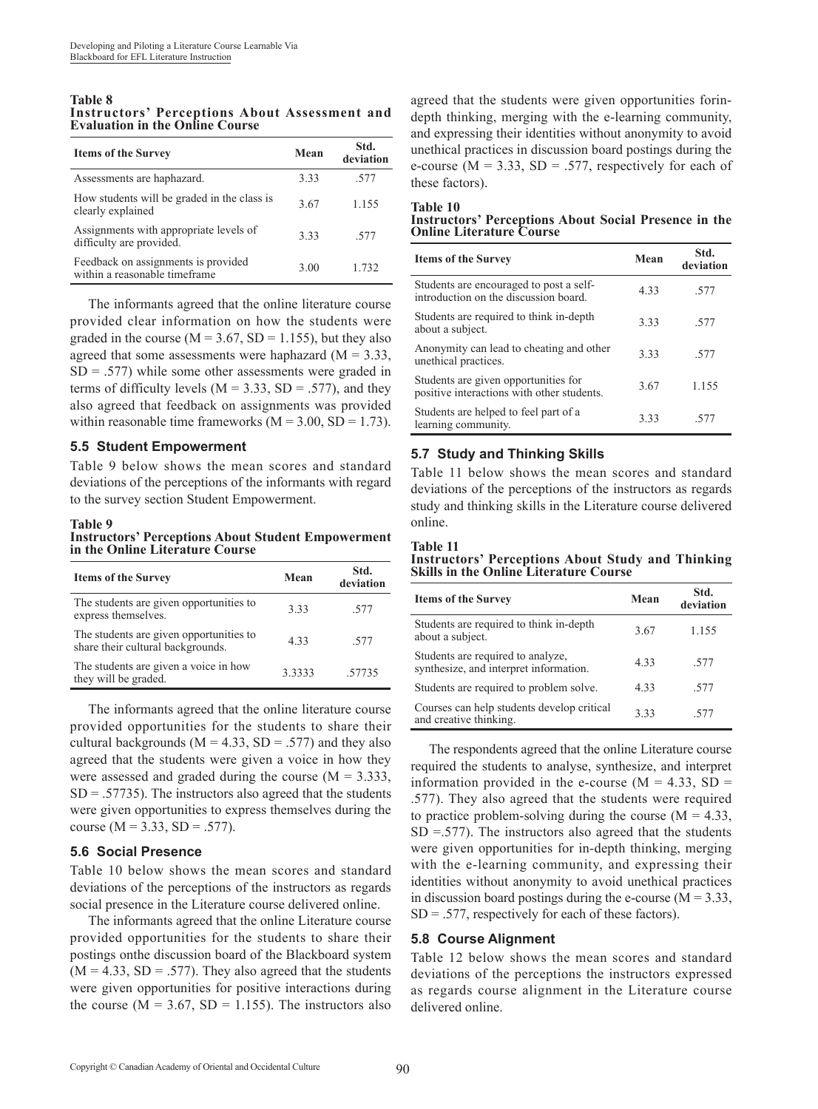#### **Table 8 Instructors' Perceptions About Assessment and Evaluation in the Online Course**

| <b>Items of the Survey</b>                                           | Mean | Std.<br>deviation |
|----------------------------------------------------------------------|------|-------------------|
| Assessments are haphazard.                                           | 3.33 | -577              |
| How students will be graded in the class is<br>clearly explained     | 3.67 | 1.155             |
| Assignments with appropriate levels of<br>difficulty are provided.   | 333  | -577              |
| Feedback on assignments is provided<br>within a reasonable timeframe | 3.00 | 1 732             |

The informants agreed that the online literature course provided clear information on how the students were graded in the course ( $M = 3.67$ ,  $SD = 1.155$ ), but they also agreed that some assessments were haphazard  $(M = 3.33)$ ,  $SD = .577$ ) while some other assessments were graded in terms of difficulty levels ( $M = 3.33$ ,  $SD = .577$ ), and they also agreed that feedback on assignments was provided within reasonable time frameworks  $(M = 3.00, SD = 1.73)$ .

### **5.5 Student Empowerment**

Table 9 below shows the mean scores and standard deviations of the perceptions of the informants with regard to the survey section Student Empowerment.

### **Table 9**

**Instructors' Perceptions About Student Empowerment in the Online Literature Course**

| <b>Items of the Survey</b>                                                   | Mean   | Std.<br>deviation |
|------------------------------------------------------------------------------|--------|-------------------|
| The students are given opportunities to<br>express themselves.               | 333    | .577              |
| The students are given opportunities to<br>share their cultural backgrounds. | 433    | .577              |
| The students are given a voice in how<br>they will be graded.                | 3.3333 | 57735             |

The informants agreed that the online literature course provided opportunities for the students to share their cultural backgrounds ( $M = 4.33$ ,  $SD = .577$ ) and they also agreed that the students were given a voice in how they were assessed and graded during the course  $(M = 3.333)$ ,  $SD = .57735$ ). The instructors also agreed that the students were given opportunities to express themselves during the course ( $M = 3.33$ ,  $SD = .577$ ).

### **5.6 Social Presence**

Table 10 below shows the mean scores and standard deviations of the perceptions of the instructors as regards social presence in the Literature course delivered online.

The informants agreed that the online Literature course provided opportunities for the students to share their postings onthe discussion board of the Blackboard system  $(M = 4.33, SD = .577)$ . They also agreed that the students were given opportunities for positive interactions during the course  $(M = 3.67, SD = 1.155)$ . The instructors also agreed that the students were given opportunities forindepth thinking, merging with the e-learning community, and expressing their identities without anonymity to avoid unethical practices in discussion board postings during the e-course ( $M = 3.33$ ,  $SD = 0.577$ , respectively for each of these factors).

# **Table 10**

**Instructors' Perceptions About Social Presence in the Online Literature Course**

| <b>Items of the Survey</b>                                                         | Mean | Std.<br>deviation |
|------------------------------------------------------------------------------------|------|-------------------|
| Students are encouraged to post a self-<br>introduction on the discussion board    | 4.33 | .577              |
| Students are required to think in-depth<br>about a subject.                        | 333  | -577              |
| Anonymity can lead to cheating and other<br>unethical practices.                   | 3.33 | -577              |
| Students are given opportunities for<br>positive interactions with other students. | 3.67 | 1.155             |
| Students are helped to feel part of a<br>learning community.                       | 333  | -577              |

## **5.7 Study and Thinking Skills**

Table 11 below shows the mean scores and standard deviations of the perceptions of the instructors as regards study and thinking skills in the Literature course delivered online.

**Table 11 Instructors' Perceptions About Study and Thinking Skills in the Online Literature Course**

| <b>Items of the Survey</b>                                                  | Mean | Std.<br>deviation |
|-----------------------------------------------------------------------------|------|-------------------|
| Students are required to think in-depth<br>about a subject.                 | 3.67 | 1.155             |
| Students are required to analyze,<br>synthesize, and interpret information. | 4.33 | .577              |
| Students are required to problem solve.                                     | 433  | .577              |
| Courses can help students develop critical<br>and creative thinking.        | 3.33 | -577              |

The respondents agreed that the online Literature course required the students to analyse, synthesize, and interpret information provided in the e-course  $(M = 4.33, SD =$ .577). They also agreed that the students were required to practice problem-solving during the course  $(M = 4.33)$ ,  $SD = .577$ ). The instructors also agreed that the students were given opportunities for in-depth thinking, merging with the e-learning community, and expressing their identities without anonymity to avoid unethical practices in discussion board postings during the e-course  $(M = 3.33)$ ,  $SD = .577$ , respectively for each of these factors).

### **5.8 Course Alignment**

Table 12 below shows the mean scores and standard deviations of the perceptions the instructors expressed as regards course alignment in the Literature course delivered online.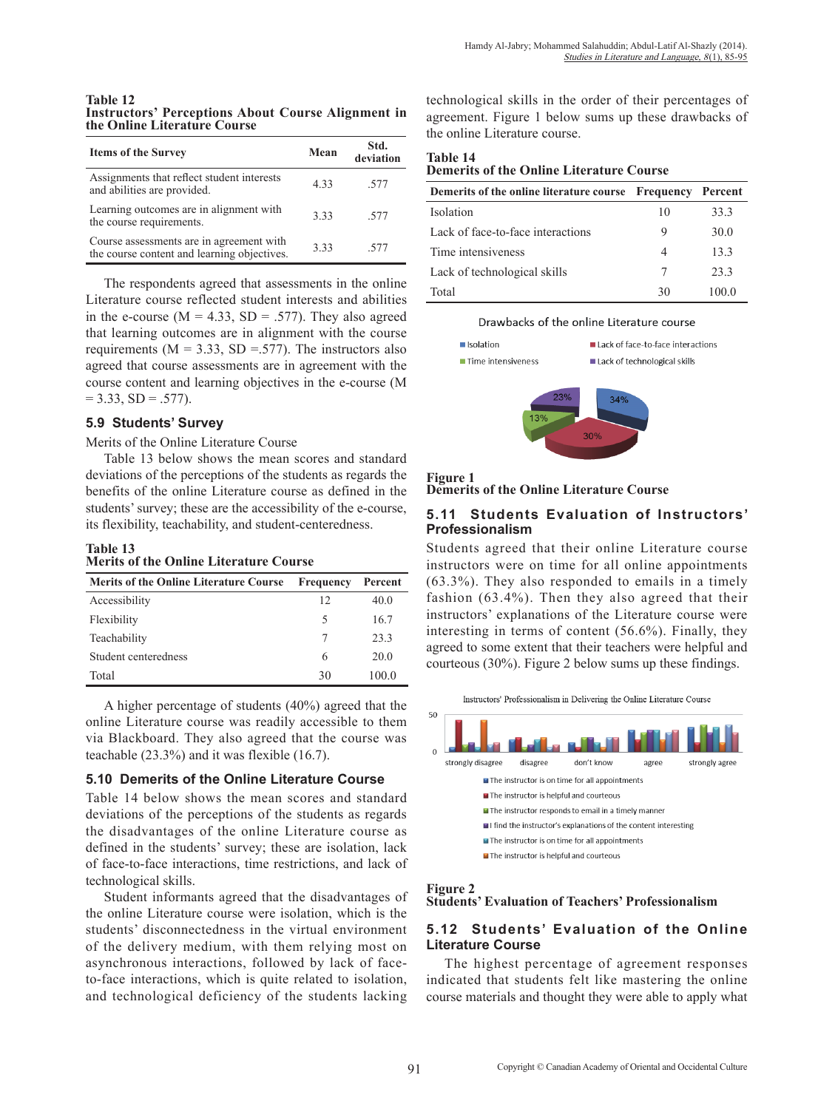**Table 12 Instructors' Perceptions About Course Alignment in the Online Literature Course**

| <b>Items of the Survey</b>                                                              | Mean | Std.<br>deviation |
|-----------------------------------------------------------------------------------------|------|-------------------|
| Assignments that reflect student interests<br>and abilities are provided.               | 433  | -577              |
| Learning outcomes are in alignment with<br>the course requirements.                     | 333  | -577              |
| Course assessments are in agreement with<br>the course content and learning objectives. | 333  | -577              |

The respondents agreed that assessments in the online Literature course reflected student interests and abilities in the e-course  $(M = 4.33, SD = .577)$ . They also agreed that learning outcomes are in alignment with the course requirements ( $M = 3.33$ ,  $SD = .577$ ). The instructors also agreed that course assessments are in agreement with the course content and learning objectives in the e-course (M  $= 3.33, SD = .577$ ).

### **5.9 Students' Survey**

Merits of the Online Literature Course

Table 13 below shows the mean scores and standard deviations of the perceptions of the students as regards the benefits of the online Literature course as defined in the students' survey; these are the accessibility of the e-course, its flexibility, teachability, and student-centeredness.

#### **Table 13 Merits of the Online Literature Course**

| <b>Merits of the Online Literature Course</b> | <b>Frequency</b> | Percent |
|-----------------------------------------------|------------------|---------|
| Accessibility                                 | 12               | 40.0    |
| Flexibility                                   | 5                | 16.7    |
| Teachability                                  |                  | 23.3    |
| Student centeredness                          | 6                | 20.0    |
| Total                                         | 30               | 100.0   |

A higher percentage of students (40%) agreed that the online Literature course was readily accessible to them via Blackboard. They also agreed that the course was teachable (23.3%) and it was flexible (16.7).

### **5.10 Demerits of the Online Literature Course**

Table 14 below shows the mean scores and standard deviations of the perceptions of the students as regards the disadvantages of the online Literature course as defined in the students' survey; these are isolation, lack of face-to-face interactions, time restrictions, and lack of technological skills.

Student informants agreed that the disadvantages of the online Literature course were isolation, which is the students' disconnectedness in the virtual environment of the delivery medium, with them relying most on asynchronous interactions, followed by lack of faceto-face interactions, which is quite related to isolation, and technological deficiency of the students lacking

technological skills in the order of their percentages of agreement. Figure 1 below sums up these drawbacks of the online Literature course.

**Table 14 Demerits of the Online Literature Course**

| Demerits of the online literature course | <b>Frequency Percent</b> |       |
|------------------------------------------|--------------------------|-------|
| Isolation                                | 10                       | 33.3  |
| Lack of face-to-face interactions        | 9                        | 30.0  |
| Time intensiveness                       | 4                        | 133   |
| Lack of technological skills             |                          | 233   |
| Total                                    | 30                       | 100 0 |

### Drawbacks of the online Literature course





**Demerits of the Online Literature Course**

### **5.11 Students Evaluation of Instructors' Professionalism**

Students agreed that their online Literature course instructors were on time for all online appointments (63.3%). They also responded to emails in a timely fashion (63.4%). Then they also agreed that their instructors' explanations of the Literature course were interesting in terms of content (56.6%). Finally, they agreed to some extent that their teachers were helpful and courteous (30%). Figure 2 below sums up these findings.



### **Figure 2**

### **Students' Evaluation of Teachers' Professionalism**

### **5.12 Students' Evaluation of the Online Literature Course**

The highest percentage of agreement responses indicated that students felt like mastering the online course materials and thought they were able to apply what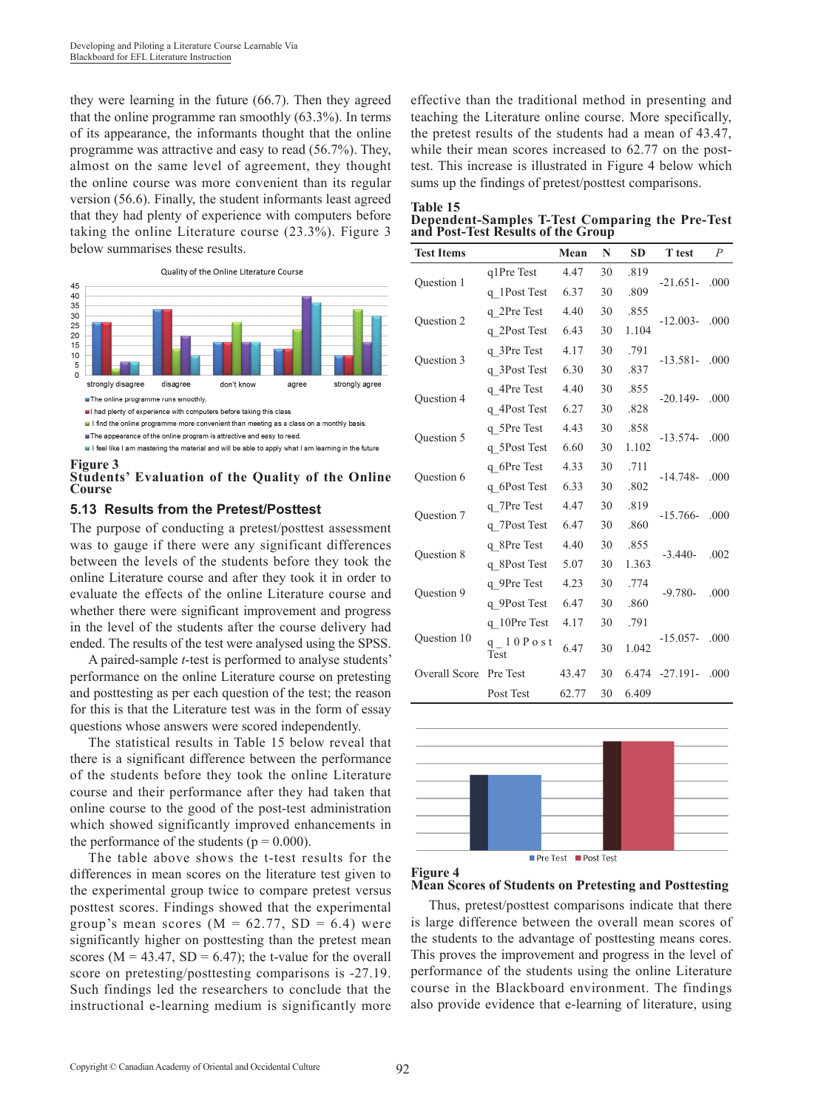they were learning in the future (66.7). Then they agreed that the online programme ran smoothly (63.3%). In terms of its appearance, the informants thought that the online programme was attractive and easy to read (56.7%). They, almost on the same level of agreement, they thought the online course was more convenient than its regular version (56.6). Finally, the student informants least agreed that they had plenty of experience with computers before taking the online Literature course (23.3%). Figure 3 below summarises these results.



If feel like I am mastering the material and will be able to apply what I am learning in the future

#### **Figure 3 Students' Evaluation of the Quality of the Online Course**

### **5.13 Results from the Pretest/Posttest**

The purpose of conducting a pretest/posttest assessment was to gauge if there were any significant differences between the levels of the students before they took the online Literature course and after they took it in order to evaluate the effects of the online Literature course and whether there were significant improvement and progress in the level of the students after the course delivery had ended. The results of the test were analysed using the SPSS.

A paired-sample *t*-test is performed to analyse students' performance on the online Literature course on pretesting and posttesting as per each question of the test; the reason for this is that the Literature test was in the form of essay questions whose answers were scored independently.

The statistical results in Table 15 below reveal that there is a significant difference between the performance of the students before they took the online Literature course and their performance after they had taken that online course to the good of the post-test administration which showed significantly improved enhancements in the performance of the students ( $p = 0.000$ ).

The table above shows the t-test results for the differences in mean scores on the literature test given to the experimental group twice to compare pretest versus posttest scores. Findings showed that the experimental group's mean scores ( $M = 62.77$ ,  $SD = 6.4$ ) were significantly higher on posttesting than the pretest mean scores ( $M = 43.47$ ,  $SD = 6.47$ ); the t-value for the overall score on pretesting/posttesting comparisons is -27.19. Such findings led the researchers to conclude that the instructional e-learning medium is significantly more effective than the traditional method in presenting and teaching the Literature online course. More specifically, the pretest results of the students had a mean of 43.47, while their mean scores increased to 62.77 on the posttest. This increase is illustrated in Figure 4 below which sums up the findings of pretest/posttest comparisons.

| Fable |  |
|-------|--|
|       |  |

**Dependent-Samples T-Test Comparing the Pre-Test and Post-Test Results of the Group**

| q1Pre Test<br>4.47<br>30<br>.819<br>Question 1<br>$-21.651-$<br>.000<br>30<br>q 1Post Test<br>6.37<br>.809<br>30<br>.855<br>q 2Pre Test<br>4.40<br>Question 2<br>$-12.003-$<br>.000<br>30<br>1.104<br>q 2Post Test<br>6.43<br>.791<br>q 3Pre Test<br>4.17<br>30<br>Question 3<br>$-13.581-$<br>.000<br>6.30<br>q 3Post Test<br>30<br>.837<br>q 4Pre Test<br>4.40<br>30<br>.855<br>Question 4<br>$-20.149-$<br>.000<br>q 4Post Test<br>6.27<br>30<br>.828 |
|----------------------------------------------------------------------------------------------------------------------------------------------------------------------------------------------------------------------------------------------------------------------------------------------------------------------------------------------------------------------------------------------------------------------------------------------------------|
|                                                                                                                                                                                                                                                                                                                                                                                                                                                          |
|                                                                                                                                                                                                                                                                                                                                                                                                                                                          |
|                                                                                                                                                                                                                                                                                                                                                                                                                                                          |
|                                                                                                                                                                                                                                                                                                                                                                                                                                                          |
|                                                                                                                                                                                                                                                                                                                                                                                                                                                          |
|                                                                                                                                                                                                                                                                                                                                                                                                                                                          |
|                                                                                                                                                                                                                                                                                                                                                                                                                                                          |
|                                                                                                                                                                                                                                                                                                                                                                                                                                                          |
| q 5Pre Test<br>30<br>.858<br>4.43<br>.000<br>$-13.574-$                                                                                                                                                                                                                                                                                                                                                                                                  |
| Question 5<br>1.102<br>q 5Post Test<br>6.60<br>30                                                                                                                                                                                                                                                                                                                                                                                                        |
| 30<br>.711<br>4.33<br>q 6Pre Test<br>Question 6<br>$-14.748-$<br>.000                                                                                                                                                                                                                                                                                                                                                                                    |
| q 6Post Test<br>6.33<br>30<br>.802                                                                                                                                                                                                                                                                                                                                                                                                                       |
| .819<br>30<br>q 7Pre Test<br>4.47<br><b>Ouestion 7</b><br>$-15.766-$<br>.000                                                                                                                                                                                                                                                                                                                                                                             |
| q 7Post Test<br>30<br>.860<br>6.47                                                                                                                                                                                                                                                                                                                                                                                                                       |
| 30<br>.855<br>q 8Pre Test<br>4.40<br>Question 8<br>$-3.440-$<br>.002                                                                                                                                                                                                                                                                                                                                                                                     |
| q 8Post Test<br>30<br>1.363<br>5.07                                                                                                                                                                                                                                                                                                                                                                                                                      |
| .774<br>30<br>q 9Pre Test<br>4.23<br><b>Ouestion 9</b><br>.000<br>$-9.780-$                                                                                                                                                                                                                                                                                                                                                                              |
| q 9Post Test<br>30<br>6.47<br>.860                                                                                                                                                                                                                                                                                                                                                                                                                       |
| 30<br>.791<br>q 10Pre Test<br>4.17                                                                                                                                                                                                                                                                                                                                                                                                                       |
| Question 10<br>.000<br>$-15.057-$<br>q $10P$ o s t<br>30<br>6.47<br>1.042<br>Test                                                                                                                                                                                                                                                                                                                                                                        |
| <b>Overall Score</b><br>Pre Test<br>30<br>43.47<br>6.474<br>$-27.191-$<br>.000                                                                                                                                                                                                                                                                                                                                                                           |
| Post Test<br>62.77<br>6.409<br>30                                                                                                                                                                                                                                                                                                                                                                                                                        |





**Mean Scores of Students on Pretesting and Posttesting**

Thus, pretest/posttest comparisons indicate that there is large difference between the overall mean scores of the students to the advantage of posttesting means cores. This proves the improvement and progress in the level of performance of the students using the online Literature course in the Blackboard environment. The findings also provide evidence that e-learning of literature, using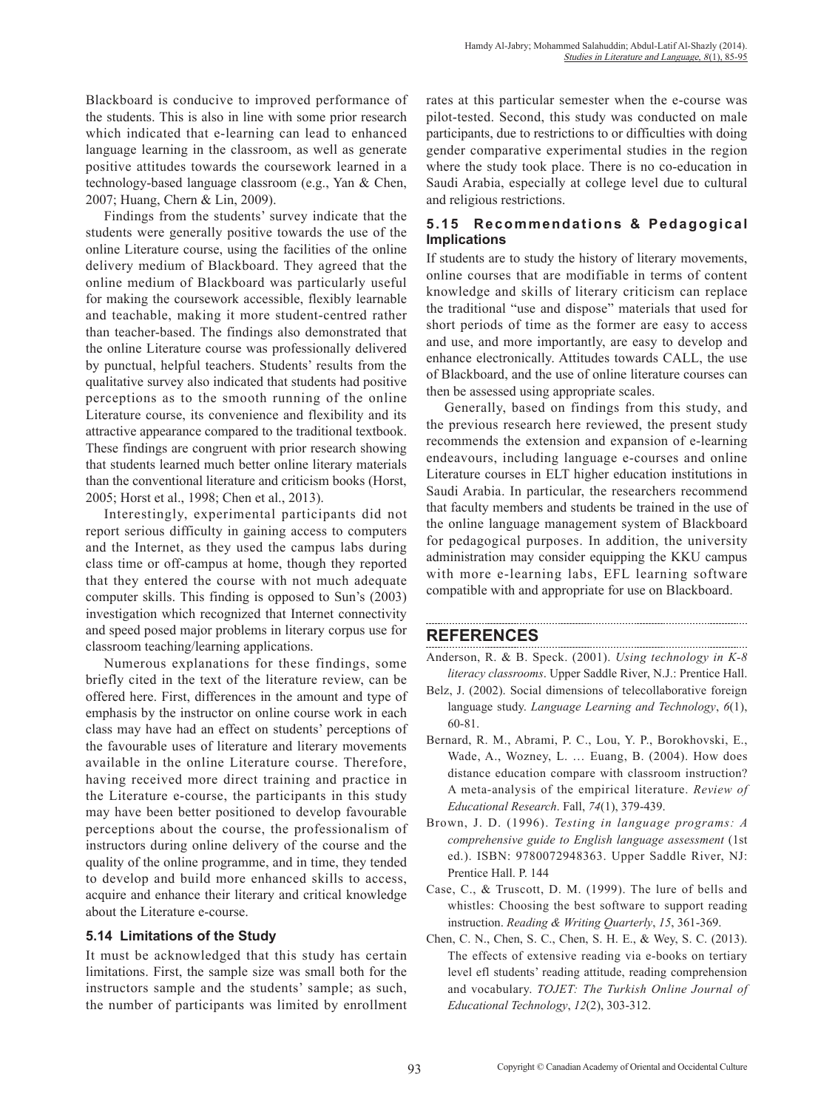Blackboard is conducive to improved performance of the students. This is also in line with some prior research which indicated that e-learning can lead to enhanced language learning in the classroom, as well as generate positive attitudes towards the coursework learned in a technology-based language classroom (e.g., Yan & Chen, 2007; Huang, Chern & Lin, 2009).

Findings from the students' survey indicate that the students were generally positive towards the use of the online Literature course, using the facilities of the online delivery medium of Blackboard. They agreed that the online medium of Blackboard was particularly useful for making the coursework accessible, flexibly learnable and teachable, making it more student-centred rather than teacher-based. The findings also demonstrated that the online Literature course was professionally delivered by punctual, helpful teachers. Students' results from the qualitative survey also indicated that students had positive perceptions as to the smooth running of the online Literature course, its convenience and flexibility and its attractive appearance compared to the traditional textbook. These findings are congruent with prior research showing that students learned much better online literary materials than the conventional literature and criticism books (Horst, 2005; Horst et al., 1998; Chen et al., 2013).

Interestingly, experimental participants did not report serious difficulty in gaining access to computers and the Internet, as they used the campus labs during class time or off-campus at home, though they reported that they entered the course with not much adequate computer skills. This finding is opposed to Sun's (2003) investigation which recognized that Internet connectivity and speed posed major problems in literary corpus use for classroom teaching/learning applications.

Numerous explanations for these findings, some briefly cited in the text of the literature review, can be offered here. First, differences in the amount and type of emphasis by the instructor on online course work in each class may have had an effect on students' perceptions of the favourable uses of literature and literary movements available in the online Literature course. Therefore, having received more direct training and practice in the Literature e-course, the participants in this study may have been better positioned to develop favourable perceptions about the course, the professionalism of instructors during online delivery of the course and the quality of the online programme, and in time, they tended to develop and build more enhanced skills to access, acquire and enhance their literary and critical knowledge about the Literature e-course.

### **5.14 Limitations of the Study**

It must be acknowledged that this study has certain limitations. First, the sample size was small both for the instructors sample and the students' sample; as such, the number of participants was limited by enrollment rates at this particular semester when the e-course was pilot-tested. Second, this study was conducted on male participants, due to restrictions to or difficulties with doing gender comparative experimental studies in the region where the study took place. There is no co-education in Saudi Arabia, especially at college level due to cultural and religious restrictions.

## **5.15 Recommendations & Pedagogical Implications**

If students are to study the history of literary movements, online courses that are modifiable in terms of content knowledge and skills of literary criticism can replace the traditional "use and dispose" materials that used for short periods of time as the former are easy to access and use, and more importantly, are easy to develop and enhance electronically. Attitudes towards CALL, the use of Blackboard, and the use of online literature courses can then be assessed using appropriate scales.

Generally, based on findings from this study, and the previous research here reviewed, the present study recommends the extension and expansion of e-learning endeavours, including language e-courses and online Literature courses in ELT higher education institutions in Saudi Arabia. In particular, the researchers recommend that faculty members and students be trained in the use of the online language management system of Blackboard for pedagogical purposes. In addition, the university administration may consider equipping the KKU campus with more e-learning labs, EFL learning software compatible with and appropriate for use on Blackboard.

# **REFERENCES**

Anderson, R. & B. Speck. (2001). *Using technology in K-8 literacy classrooms*. Upper Saddle River, N.J.: Prentice Hall.

- Belz, J. (2002). Social dimensions of telecollaborative foreign language study. *Language Learning and Technology*, *6*(1), 60-81.
- Bernard, R. M., Abrami, P. C., Lou, Y. P., Borokhovski, E., Wade, A., Wozney, L. … Euang, B. (2004). How does distance education compare with classroom instruction? A meta-analysis of the empirical literature. *Review of Educational Research*. Fall, *74*(1), 379-439.
- Brown, J. D. (1996). *Testing in language programs: A comprehensive guide to English language assessment* (1st ed.). ISBN: 9780072948363. Upper Saddle River, NJ: Prentice Hall. P. 144
- Case, C., & Truscott, D. M. (1999). The lure of bells and whistles: Choosing the best software to support reading instruction. *Reading & Writing Quarterly*, *15*, 361-369.
- Chen, C. N., Chen, S. C., Chen, S. H. E., & Wey, S. C. (2013). The effects of extensive reading via e-books on tertiary level efl students' reading attitude, reading comprehension and vocabulary. *TOJET: The Turkish Online Journal of Educational Technology*, *12*(2), 303-312.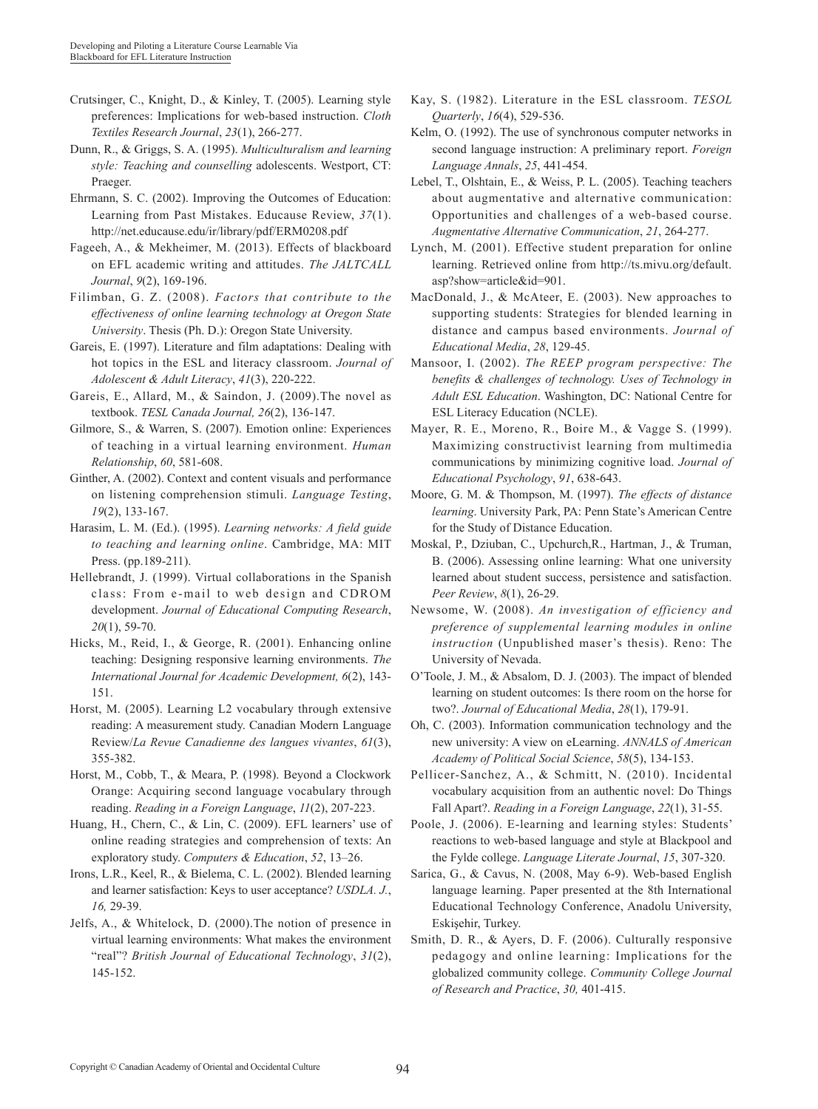- Crutsinger, C., Knight, D., & Kinley, T. (2005). Learning style preferences: Implications for web-based instruction. *Cloth Textiles Research Journal*, *23*(1), 266-277.
- Dunn, R., & Griggs, S. A. (1995). *Multiculturalism and learning style: Teaching and counselling* adolescents. Westport, CT: Praeger.
- Ehrmann, S. C. (2002). Improving the Outcomes of Education: Learning from Past Mistakes. Educause Review, *37*(1). http://net.educause.edu/ir/library/pdf/ERM0208.pdf
- Fageeh, A., & Mekheimer, M. (2013). Effects of blackboard on EFL academic writing and attitudes. *The JALTCALL Journal*, *9*(2), 169-196.
- Filimban, G. Z. (2008). *Factors that contribute to the effectiveness of online learning technology at Oregon State University*. Thesis (Ph. D.): Oregon State University.
- Gareis, E. (1997). Literature and film adaptations: Dealing with hot topics in the ESL and literacy classroom. *Journal of Adolescent & Adult Literacy*, *41*(3), 220-222.
- Gareis, E., Allard, M., & Saindon, J. (2009).The novel as textbook. *TESL Canada Journal, 26*(2), 136-147.
- Gilmore, S., & Warren, S. (2007). Emotion online: Experiences of teaching in a virtual learning environment. *Human Relationship*, *60*, 581-608.
- Ginther, A. (2002). Context and content visuals and performance on listening comprehension stimuli. *Language Testing*, *19*(2), 133-167.
- Harasim, L. M. (Ed.). (1995). *Learning networks: A field guide to teaching and learning online*. Cambridge, MA: MIT Press. (pp.189-211).
- Hellebrandt, J. (1999). Virtual collaborations in the Spanish class: From e-mail to web design and CDROM development. *Journal of Educational Computing Research*, *20*(1), 59-70.
- Hicks, M., Reid, I., & George, R. (2001). Enhancing online teaching: Designing responsive learning environments. *The International Journal for Academic Development, 6*(2), 143- 151.
- Horst, M. (2005). Learning L2 vocabulary through extensive reading: A measurement study. Canadian Modern Language Review/*La Revue Canadienne des langues vivantes*, *61*(3), 355-382.
- Horst, M., Cobb, T., & Meara, P. (1998). Beyond a Clockwork Orange: Acquiring second language vocabulary through reading. *Reading in a Foreign Language*, *11*(2), 207-223.
- Huang, H., Chern, C., & Lin, C. (2009). EFL learners' use of online reading strategies and comprehension of texts: An exploratory study. *Computers & Education*, *52*, 13–26.
- Irons, L.R., Keel, R., & Bielema, C. L. (2002). Blended learning and learner satisfaction: Keys to user acceptance? *USDLA. J.*, *16,* 29-39.
- Jelfs, A., & Whitelock, D. (2000).The notion of presence in virtual learning environments: What makes the environment "real"? *British Journal of Educational Technology*, *31*(2), 145-152.
- Kay, S. (1982). Literature in the ESL classroom. *TESOL Quarterly*, *16*(4), 529-536.
- Kelm, O. (1992). The use of synchronous computer networks in second language instruction: A preliminary report. *Foreign Language Annals*, *25*, 441-454.
- Lebel, T., Olshtain, E., & Weiss, P. L. (2005). Teaching teachers about augmentative and alternative communication: Opportunities and challenges of a web-based course. *Augmentative Alternative Communication*, *21*, 264-277.
- Lynch, M. (2001). Effective student preparation for online learning. Retrieved online from http://ts.mivu.org/default. asp?show=article&id=901.
- MacDonald, J., & McAteer, E. (2003). New approaches to supporting students: Strategies for blended learning in distance and campus based environments. *Journal of Educational Media*, *28*, 129-45.
- Mansoor, I. (2002). *The REEP program perspective: The benefits & challenges of technology. Uses of Technology in Adult ESL Education*. Washington, DC: National Centre for ESL Literacy Education (NCLE).
- Mayer, R. E., Moreno, R., Boire M., & Vagge S. (1999). Maximizing constructivist learning from multimedia communications by minimizing cognitive load. *Journal of Educational Psychology*, *91*, 638-643.
- Moore, G. M. & Thompson, M. (1997). *The effects of distance learning*. University Park, PA: Penn State's American Centre for the Study of Distance Education.
- Moskal, P., Dziuban, C., Upchurch,R., Hartman, J., & Truman, B. (2006). Assessing online learning: What one university learned about student success, persistence and satisfaction. *Peer Review*, *8*(1), 26-29.
- Newsome, W. (2008). *An investigation of efficiency and preference of supplemental learning modules in online instruction* (Unpublished maser's thesis). Reno: The University of Nevada.
- O'Toole, J. M., & Absalom, D. J. (2003). The impact of blended learning on student outcomes: Is there room on the horse for two?. *Journal of Educational Media*, *28*(1), 179-91.
- Oh, C. (2003). Information communication technology and the new university: A view on eLearning. *ANNALS of American Academy of Political Social Science*, *58*(5), 134-153.
- Pellicer-Sanchez, A., & Schmitt, N. (2010). Incidental vocabulary acquisition from an authentic novel: Do Things Fall Apart?. *Reading in a Foreign Language*, *22*(1), 31-55.
- Poole, J. (2006). E-learning and learning styles: Students' reactions to web-based language and style at Blackpool and the Fylde college. *Language Literate Journal*, *15*, 307-320.
- Sarica, G., & Cavus, N. (2008, May 6-9). Web-based English language learning. Paper presented at the 8th International Educational Technology Conference, Anadolu University, Eskişehir, Turkey.
- Smith, D. R., & Ayers, D. F. (2006). Culturally responsive pedagogy and online learning: Implications for the globalized community college. *Community College Journal of Research and Practice*, *30,* 401-415.